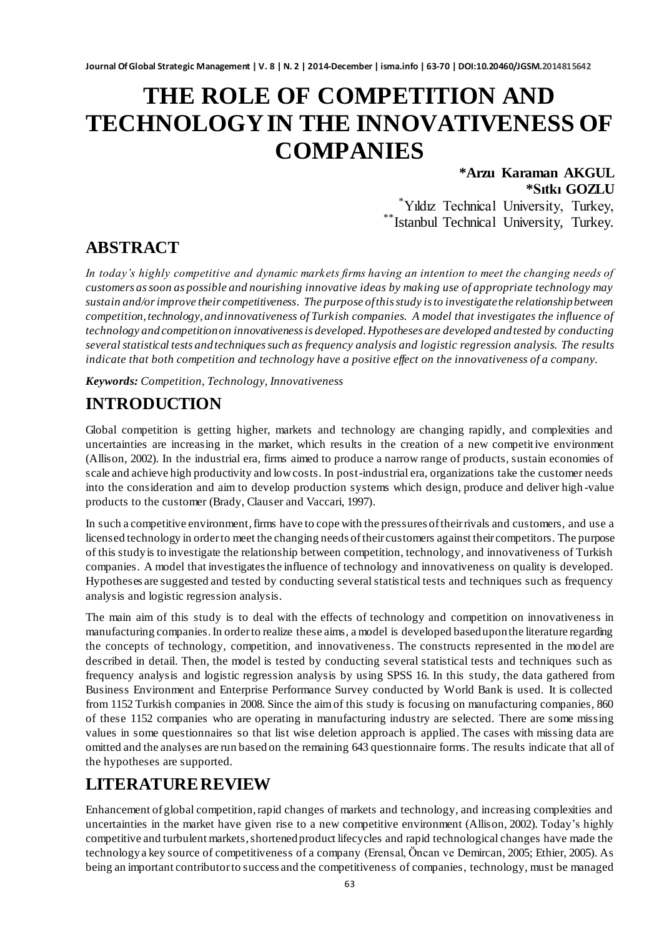# **THE ROLE OF COMPETITION AND TECHNOLOGY IN THE INNOVATIVENESS OF COMPANIES**

### **\*Arzu Karaman AKGUL \*Sıtkı GOZLU**

\*Yıldız Technical University, Turkey, \*\*Istanbul Technical University, Turkey.

### **ABSTRACT**

*In today's highly competitive and dynamic markets firms having an intention to meet the changing needs of customers as soon as possible and nourishing innovative ideas by making use of appropriate technology may sustain and/or improve their competitiveness. The purpose of this study is to investigate the relationship between competition, technology, and innovativeness of Turkish companies. A model that investigates the influence of technology and competition on innovativeness is developed. Hypotheses are developed and tested by conducting several statistical tests and techniques such as frequency analysis and logistic regression analysis. The results indicate that both competition and technology have a positive effect on the innovativeness of a company.*

*Keywords: Competition, Technology, Innovativeness*

### **INTRODUCTION**

Global competition is getting higher, markets and technology are changing rapidly, and complexities and uncertainties are increasing in the market, which results in the creation of a new competitive environment (Allison, 2002). In the industrial era, firms aimed to produce a narrow range of products, sustain economies of scale and achieve high productivity and low costs. In post-industrial era, organizations take the customer needs into the consideration and aim to develop production systems which design, produce and deliver high -value products to the customer (Brady, Clauser and Vaccari, 1997).

In such a competitive environment, firms have to cope with the pressures of their rivals and customers, and use a licensed technology in order to meet the changing needs of their customers against their competitors. The purpose of this study is to investigate the relationship between competition, technology, and innovativeness of Turkish companies. A model that investigates the influence of technology and innovativeness on quality is developed. Hypotheses are suggested and tested by conducting several statistical tests and techniques such as frequency analysis and logistic regression analysis.

The main aim of this study is to deal with the effects of technology and competition on innovativeness in manufacturing companies. In order to realize these aims, a model is developed based upon the literature regarding the concepts of technology, competition, and innovativeness. The constructs represented in the model are described in detail. Then, the model is tested by conducting several statistical tests and techniques such as frequency analysis and logistic regression analysis by using SPSS 16. In this study, the data gathered from Business Environment and Enterprise Performance Survey conducted by World Bank is used. It is collected from 1152 Turkish companies in 2008. Since the aim of this study is focusing on manufacturing companies, 860 of these 1152 companies who are operating in manufacturing industry are selected. There are some missing values in some questionnaires so that list wise deletion approach is applied. The cases with missing data are omitted and the analyses are run based on the remaining 643 questionnaire forms. The results indicate that all of the hypotheses are supported.

# **LITERATUREREVIEW**

Enhancement of global competition, rapid changes of markets and technology, and increasing complexities and uncertainties in the market have given rise to a new competitive environment (Allison, 2002). Today's highly competitive and turbulent markets, shortened product lifecycles and rapid technological changes have made the technology a key source of competitiveness of a company (Erensal, Öncan ve Demircan, 2005; Ethier, 2005). As being an important contributor to success and the competitiveness of companies, technology, must be managed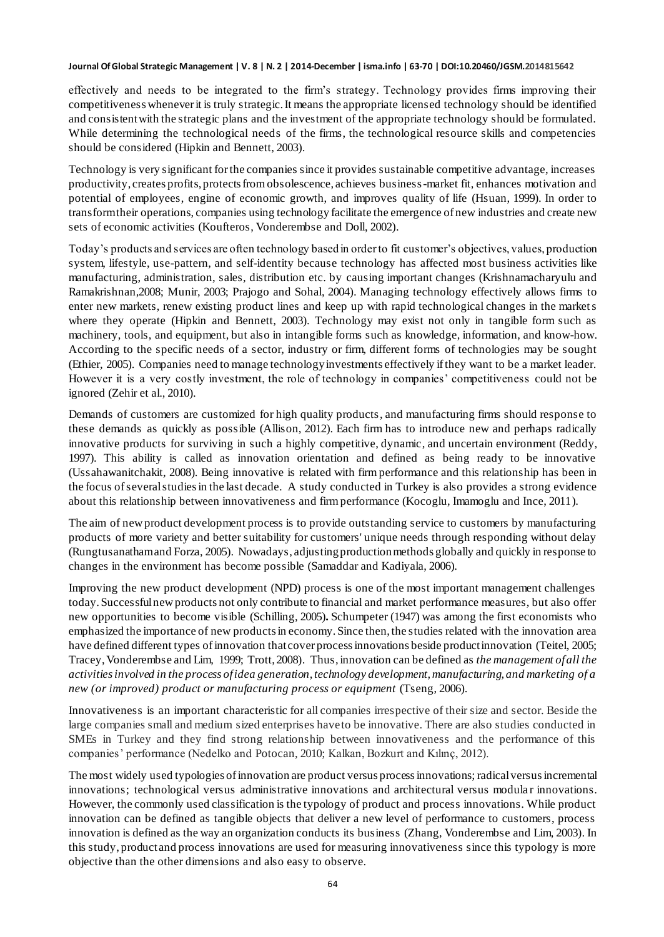effectively and needs to be integrated to the firm's strategy. Technology provides firms improving their competitiveness whenever it is truly strategic. It means the appropriate licensed technology should be identified and consistent with the strategic plans and the investment of the appropriate technology should be formulated. While determining the technological needs of the firms, the technological resource skills and competencies should be considered (Hipkin and Bennett, 2003).

Technology is very significant for the companies since it provides sustainable competitive advantage, increases productivity, creates profits, protects from obsolescence, achieves business-market fit, enhances motivation and potential of employees, engine of economic growth, and improves quality of life (Hsuan, 1999). In order to transform their operations, companies using technology facilitate the emergence of new industries and create new sets of economic activities (Koufteros, Vonderembse and Doll, 2002).

Today's products and services are often technology based in order to fit customer's objectives, values, production system, lifestyle, use-pattern, and self-identity because technology has affected most business activities like manufacturing, administration, sales, distribution etc. by causing important changes (Krishnamacharyulu and Ramakrishnan,2008; Munir, 2003; Prajogo and Sohal, 2004). Managing technology effectively allows firms to enter new markets, renew existing product lines and keep up with rapid technological changes in the markets where they operate (Hipkin and Bennett, 2003). Technology may exist not only in tangible form such as machinery, tools, and equipment, but also in intangible forms such as knowledge, information, and know-how. According to the specific needs of a sector, industry or firm, different forms of technologies may be sought (Ethier, 2005). Companies need to manage technology investments effectively if they want to be a market leader. However it is a very costly investment, the role of technology in companies' competitiveness could not be ignored (Zehir et al., 2010).

Demands of customers are customized for high quality products, and manufacturing firms should response to these demands as quickly as possible (Allison, 2012). Each firm has to introduce new and perhaps radically innovative products for surviving in such a highly competitive, dynamic, and uncertain environment (Reddy, 1997). This ability is called as innovation orientation and defined as being ready to be innovative (Ussahawanitchakit, 2008). Being innovative is related with firm performance and this relationship has been in the focus ofseveral studies in the last decade. A study conducted in Turkey is also provides a strong evidence about this relationship between innovativeness and firm performance (Kocoglu, Imamoglu and Ince, 2011).

The aim of new product development process is to provide outstanding service to customers by manufacturing products of more variety and better suitability for customers' unique needs through responding without delay (Rungtusanatham and Forza, 2005). Nowadays, adjusting production methods globally and quickly in response to changes in the environment has become possible (Samaddar and Kadiyala, 2006).

Improving the new product development (NPD) process is one of the most important management challenges today. Successful new products not only contribute to financial and market performance measures, but also offer new opportunities to become visible (Schilling, 2005)**.** Schumpeter (1947) was among the first economists who emphasized the importance of new products in economy. Since then, the studies related with the innovation area have defined different types of innovation that cover process innovations beside product innovation (Teitel, 2005; Tracey, Vonderembse and Lim, 1999; Trott, 2008). Thus, innovation can be defined as *the management of all the activities involved in the process of idea generation, technology development, manufacturing, and marketing of a new (or improved) product or manufacturing process or equipment* (Tseng, 2006).

Innovativeness is an important characteristic for all companies irrespective of their size and sector. Beside the large companies small and medium sized enterprises have to be innovative. There are also studies conducted in SMEs in Turkey and they find strong relationship between innovativeness and the performance of this companies' performance (Nedelko and Potocan, 2010; Kalkan, Bozkurt and Kılınç, 2012).

The most widely used typologies of innovation are product versus process innovations; radical versus incremental innovations; technological versus administrative innovations and architectural versus modula r innovations. However, the commonly used classification is the typology of product and process innovations. While product innovation can be defined as tangible objects that deliver a new level of performance to customers, process innovation is defined as the way an organization conducts its business (Zhang, Vonderembse and Lim, 2003). In this study, product and process innovations are used for measuring innovativeness since this typology is more objective than the other dimensions and also easy to observe.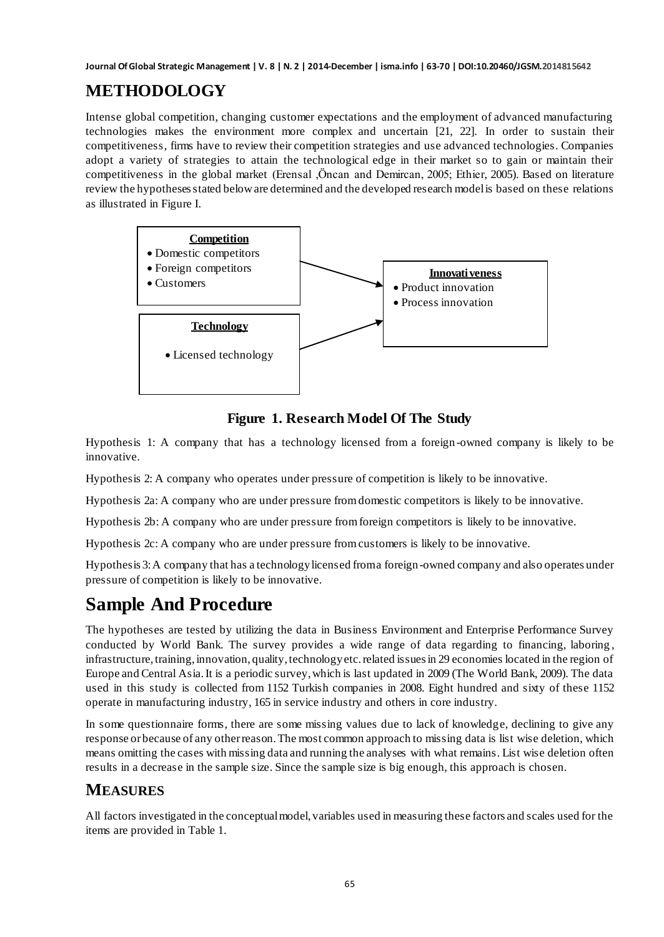# **METHODOLOGY**

Intense global competition, changing customer expectations and the employment of advanced manufacturing technologies makes the environment more complex and uncertain [21, 22]. In order to sustain their competitiveness, firms have to review their competition strategies and use advanced technologies. Companies adopt a variety of strategies to attain the technological edge in their market so to gain or maintain their competitiveness in the global market (Erensal ,Öncan and Demircan, 2005; Ethier, 2005). Based on literature review the hypotheses stated below are determined and the developed research model is based on these relations as illustrated in Figure I.



**Figure 1. Research Model Of The Study**

Hypothesis 1: A company that has a technology licensed from a foreign -owned company is likely to be innovative.

Hypothesis 2: A company who operates under pressure of competition is likely to be innovative.

Hypothesis 2a: A company who are under pressure from domestic competitors is likely to be innovative.

Hypothesis 2b: A company who are under pressure from foreign competitors is likely to be innovative.

Hypothesis 2c: A company who are under pressure from customers is likely to be innovative.

Hypothesis 3: A company that has a technology licensed from a foreign-owned company and also operates under pressure of competition is likely to be innovative.

# **Sample And Procedure**

The hypotheses are tested by utilizing the data in Business Environment and Enterprise Performance Survey conducted by World Bank. The survey provides a wide range of data regarding to financing, laboring , infrastructure, training, innovation, quality, technology etc. related issues in 29 economies located in the region of Europe and Central Asia. It is a periodic survey, which is last updated in 2009 (The World Bank, 2009). The data used in this study is collected from 1152 Turkish companies in 2008. Eight hundred and sixty of these 1152 operate in manufacturing industry, 165 in service industry and others in core industry.

In some questionnaire forms, there are some missing values due to lack of knowledge, declining to give any response or because of any other reason. The most common approach to missing data is list wise deletion, which means omitting the cases with missing data and running the analyses with what remains. List wise deletion often results in a decrease in the sample size. Since the sample size is big enough, this approach is chosen.

### **MEASURES**

All factors investigated in the conceptual model, variables used in measuring these factors and scales used for the items are provided in Table 1.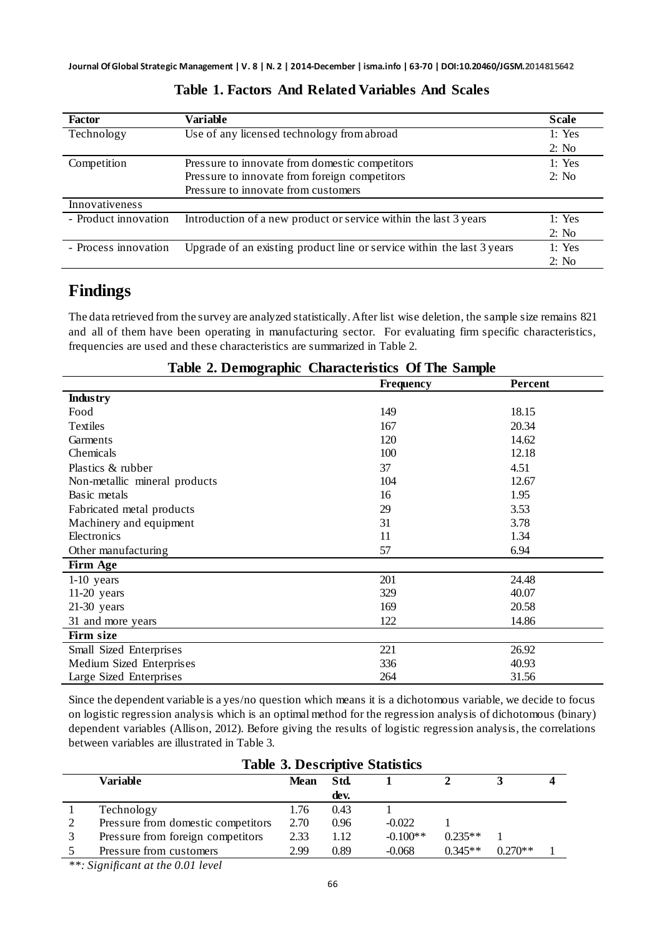| <b>Factor</b>        | Variable                                                               | <b>Scale</b> |
|----------------------|------------------------------------------------------------------------|--------------|
| Technology           | Use of any licensed technology from abroad                             | 1: Yes       |
|                      |                                                                        | 2: No        |
| Competition          | Pressure to innovate from domestic competitors                         | 1: Yes       |
|                      | Pressure to innovate from foreign competitors                          | 2: No        |
|                      | Pressure to innovate from customers                                    |              |
| Innovativeness       |                                                                        |              |
| - Product innovation | Introduction of a new product or service within the last 3 years       | 1: Yes       |
|                      |                                                                        | 2: No        |
| - Process innovation | Upgrade of an existing product line or service within the last 3 years | 1: Yes       |
|                      |                                                                        | 2: No        |

### **Table 1. Factors And Related Variables And Scales**

# **Findings**

The data retrieved from the survey are analyzed statistically. After list wise deletion, the sample size remains 821 and all of them have been operating in manufacturing sector. For evaluating firm specific characteristics, frequencies are used and these characteristics are summarized in Table 2.

|                               | <b>Frequency</b> | Percent |  |  |
|-------------------------------|------------------|---------|--|--|
| <b>Industry</b>               |                  |         |  |  |
| Food                          | 149              | 18.15   |  |  |
| Textiles                      | 167              | 20.34   |  |  |
| Garments                      | 120              | 14.62   |  |  |
| Chemicals                     | 100              | 12.18   |  |  |
| Plastics & rubber             | 37               | 4.51    |  |  |
| Non-metallic mineral products | 104              | 12.67   |  |  |
| Basic metals                  | 16               | 1.95    |  |  |
| Fabricated metal products     | 29               | 3.53    |  |  |
| Machinery and equipment       | 31               | 3.78    |  |  |
| Electronics                   | 11               | 1.34    |  |  |
| Other manufacturing           | 57               | 6.94    |  |  |
| Firm Age                      |                  |         |  |  |
| $1-10$ years                  | 201              | 24.48   |  |  |
| $11-20$ years                 | 329              | 40.07   |  |  |
| $21-30$ years                 | 169              | 20.58   |  |  |
| 31 and more years             | 122              | 14.86   |  |  |
| Firm size                     |                  |         |  |  |
| Small Sized Enterprises       | 221              | 26.92   |  |  |
| Medium Sized Enterprises      | 336              | 40.93   |  |  |
| Large Sized Enterprises       | 264              | 31.56   |  |  |

|  | Table 2. Demographic Characteristics Of The Sample |  |  |
|--|----------------------------------------------------|--|--|
|  |                                                    |  |  |

Since the dependent variable is a yes/no question which means it is a dichotomous variable, we decide to focus on logistic regression analysis which is an optimal method for the regression analysis of dichotomous (binary) dependent variables (Allison, 2012). Before giving the results of logistic regression analysis, the correlations between variables are illustrated in Table 3.

|          | Lable 5. Descriptive Statistics    |                      |      |            |           |           |  |  |  |
|----------|------------------------------------|----------------------|------|------------|-----------|-----------|--|--|--|
| Variable |                                    | -Std.<br><b>Mean</b> |      |            |           |           |  |  |  |
|          |                                    |                      | dev. |            |           |           |  |  |  |
|          | Technology                         | 1.76                 | 0.43 |            |           |           |  |  |  |
|          | Pressure from domestic competitors | 2.70                 | 0.96 | $-0.022$   |           |           |  |  |  |
|          | Pressure from foreign competitors  | 2.33                 | 1.12 | $-0.100**$ | $0.235**$ |           |  |  |  |
|          | Pressure from customers            | 2.99                 | 0.89 | $-0.068$   | $0.345**$ | $0.270**$ |  |  |  |

### **Table 3. Descriptive Statistics**

*\*\*: Significant at the 0.01 level*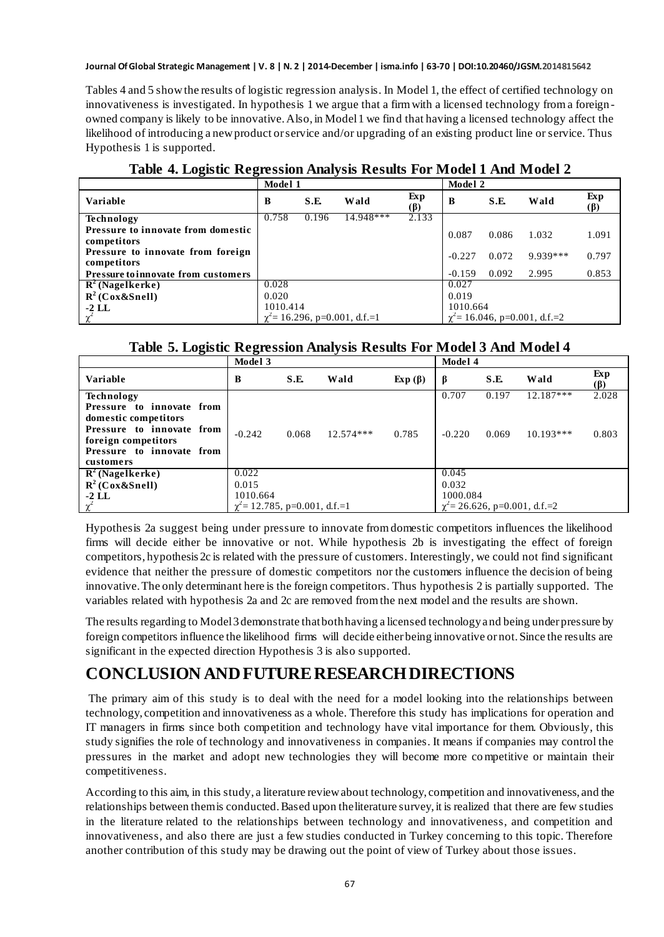Tables 4 and 5 show the results of logistic regression analysis. In Model 1, the effect of certified technology on innovativeness is investigated. In hypothesis 1 we argue that a firm with a licensed technology from a foreignowned company is likely to be innovative. Also, in Model 1 we find that having a licensed technology affect the likelihood of introducing a new product or service and/or upgrading of an existing product line or service. Thus Hypothesis 1 is supported.

|                                                   | Model 1  |       |                                    |            | Model 2  |       |                                        |                   |
|---------------------------------------------------|----------|-------|------------------------------------|------------|----------|-------|----------------------------------------|-------------------|
| Variable                                          | B        | S.E.  | Wald                               | Exp<br>(ß) | B        | S.E.  | Wald                                   | Exp<br><b>(β)</b> |
| Technology                                        | 0.758    | 0.196 | $14.948***$                        | 2.133      |          |       |                                        |                   |
| Pressure to innovate from domestic<br>competitors |          |       |                                    |            | 0.087    | 0.086 | 1.032                                  | 1.091             |
| Pressure to innovate from foreign<br>competitors  |          |       |                                    |            | $-0.227$ | 0.072 | 9.939***                               | 0.797             |
| <b>Pressure to innovate from customers</b>        |          |       |                                    |            | $-0.159$ | 0.092 | 2.995                                  | 0.853             |
| $\mathbf{R}^2$ (Nagelkerke)                       | 0.028    |       |                                    |            | 0.027    |       |                                        |                   |
| $R^2$ (Cox&Snell)                                 | 0.020    |       |                                    |            | 0.019    |       |                                        |                   |
| $-2$ LL                                           | 1010.414 |       |                                    |            | 1010.664 |       |                                        |                   |
| $\chi^2$                                          |          |       | $\chi^2$ = 16.296, p=0.001, d.f.=1 |            |          |       | $\gamma^2$ = 16.046, p=0.001, d.f. = 2 |                   |

**Table 4. Logistic Regression Analysis Results For Model 1 And Model 2**

### **Table 5. Logistic Regression Analysis Results For Model 3 And Model 4**

|                                                                                                                                                               | Model 3                                        |       |             |               | Model 4           |                |                                    |                |
|---------------------------------------------------------------------------------------------------------------------------------------------------------------|------------------------------------------------|-------|-------------|---------------|-------------------|----------------|------------------------------------|----------------|
| <b>Variable</b>                                                                                                                                               | B                                              | S.E.  | Wald        | Exp $(\beta)$ | $\beta$           | S.E.           | Wald                               | Exp<br>(B)     |
| Technology<br>Pressure to innovate from<br>domestic competitors<br>Pressure to innovate from<br>foreign competitors<br>Pressure to innovate from<br>customers | $-0.242$                                       | 0.068 | $12.574***$ | 0.785         | 0.707<br>$-0.220$ | 0.197<br>0.069 | $12.187***$<br>$10.193***$         | 2.028<br>0.803 |
| $R^2$ (Nagelkerke)<br>$R^2$ (Cox&Snell)                                                                                                                       | 0.022<br>0.015                                 |       |             |               | 0.045<br>0.032    |                |                                    |                |
| $-2$ LL<br>$\chi^2$                                                                                                                                           | 1010.664<br>$\chi^2$ = 12.785, p=0.001, d.f.=1 |       |             |               | 1000.084          |                | $\chi^2$ = 26.626, p=0.001, d.f.=2 |                |

Hypothesis 2a suggest being under pressure to innovate from domestic competitors influences the likelihood firms will decide either be innovative or not. While hypothesis 2b is investigating the effect of foreign competitors, hypothesis 2c is related with the pressure of customers. Interestingly, we could not find significant evidence that neither the pressure of domestic competitors nor the customers influence the decision of being innovative. The only determinant here is the foreign competitors. Thus hypothesis 2 is partially supported. The variables related with hypothesis 2a and 2c are removed from the next model and the results are shown.

The results regarding to Model 3 demonstrate that both having a licensed technology and being under pressure by foreign competitors influence the likelihood firms will decide either being innovative or not. Since the results are significant in the expected direction Hypothesis 3 is also supported.

### **CONCLUSION ANDFUTURERESEARCHDIRECTIONS**

The primary aim of this study is to deal with the need for a model looking into the relationships between technology, competition and innovativeness as a whole. Therefore this study has implications for operation and IT managers in firms since both competition and technology have vital importance for them. Obviously, this study signifies the role of technology and innovativeness in companies. It means if companies may control the pressures in the market and adopt new technologies they will become more competitive or maintain their competitiveness.

According to this aim, in this study, a literature review about technology, competition and innovativeness, and the relationships between them is conducted. Based upon the literature survey, it is realized that there are few studies in the literature related to the relationships between technology and innovativeness, and competition and innovativeness, and also there are just a few studies conducted in Turkey concerning to this topic. Therefore another contribution of this study may be drawing out the point of view of Turkey about those issues.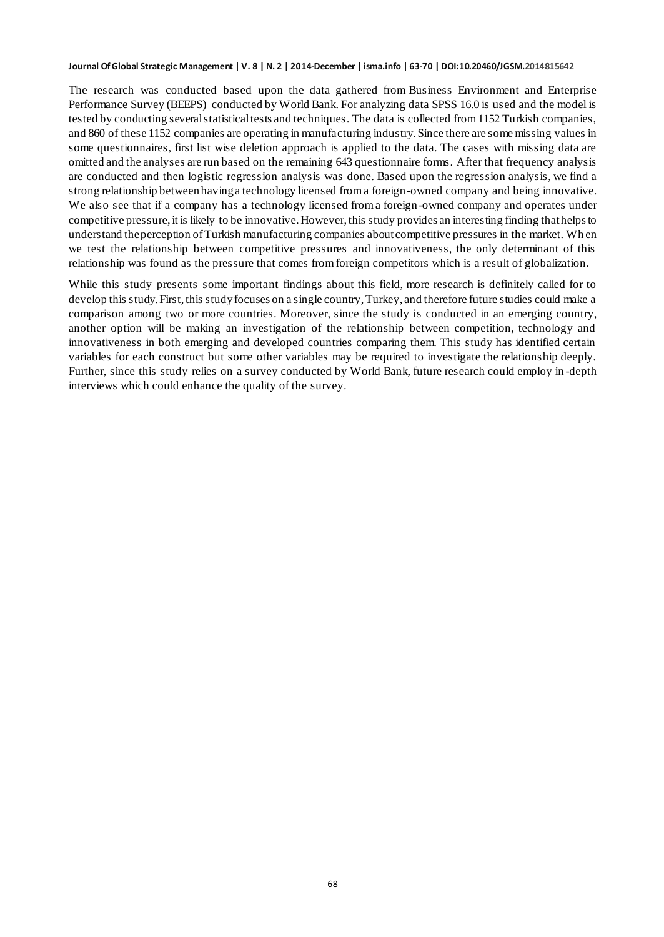The research was conducted based upon the data gathered from Business Environment and Enterprise Performance Survey (BEEPS) conducted by World Bank. For analyzing data SPSS 16.0 is used and the model is tested by conducting several statistical tests and techniques. The data is collected from 1152 Turkish companies, and 860 of these 1152 companies are operating in manufacturing industry. Since there are some missing values in some questionnaires, first list wise deletion approach is applied to the data. The cases with missing data are omitted and the analyses are run based on the remaining 643 questionnaire forms. After that frequency analysis are conducted and then logistic regression analysis was done. Based upon the regression analysis, we find a strong relationship between having a technology licensed from a foreign-owned company and being innovative. We also see that if a company has a technology licensed from a foreign-owned company and operates under competitive pressure, it is likely to be innovative. However, this study provides an interesting finding that helps to understand the perception of Turkish manufacturing companies about competitive pressures in the market. Wh en we test the relationship between competitive pressures and innovativeness, the only determinant of this relationship was found as the pressure that comes from foreign competitors which is a result of globalization.

While this study presents some important findings about this field, more research is definitely called for to develop this study. First, this study focuses on a single country, Turkey, and therefore future studies could make a comparison among two or more countries. Moreover, since the study is conducted in an emerging country, another option will be making an investigation of the relationship between competition, technology and innovativeness in both emerging and developed countries comparing them. This study has identified certain variables for each construct but some other variables may be required to investigate the relationship deeply. Further, since this study relies on a survey conducted by World Bank, future research could employ in -depth interviews which could enhance the quality of the survey.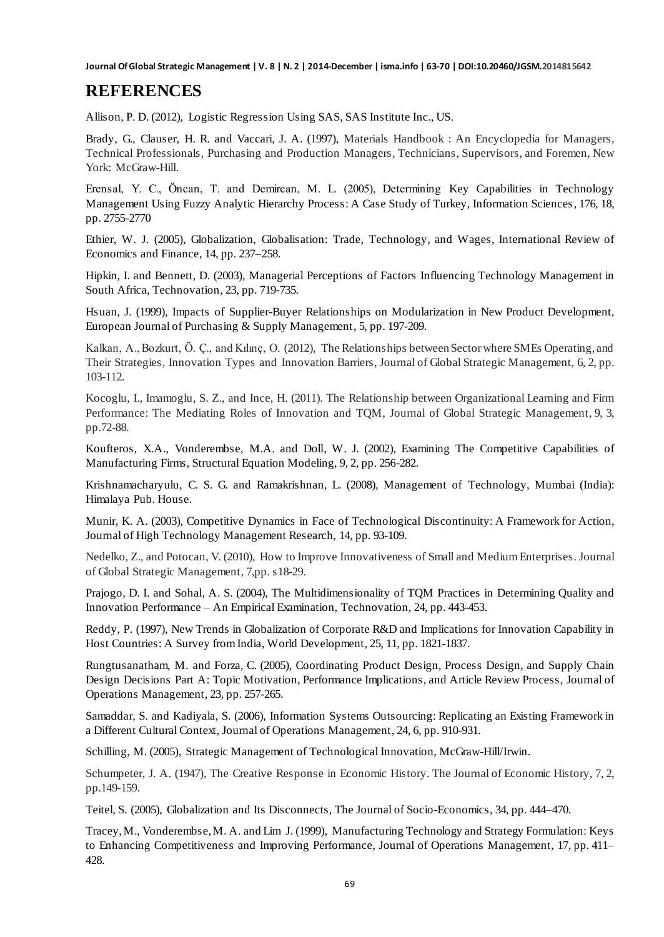### **REFERENCES**

Allison, P. D. (2012), Logistic Regression Using SAS, SAS Institute Inc., US.

Brady, G., Clauser, H. R. and Vaccari, J. A. (1997), Materials Handbook : An Encyclopedia for Managers, Technical Professionals, Purchasing and Production Managers, Technicians, Supervisors, and Foremen, New York: McGraw-Hill.

Erensal, Y. C., Öncan, T. and Demircan, M. L. (2005), Determining Key Capabilities in Technology Management Using Fuzzy Analytic Hierarchy Process: A Case Study of Turkey, Information Sciences, 176, 18, pp. 2755-2770

Ethier, W. J. (2005), Globalization, Globalisation: Trade, Technology, and Wages, International Review of Economics and Finance, 14, pp. 237–258.

Hipkin, I. and Bennett, D. (2003), Managerial Perceptions of Factors Influencing Technology Management in South Africa, Technovation, 23, pp. 719-735.

Hsuan, J. (1999), Impacts of Supplier-Buyer Relationships on Modularization in New Product Development, European Journal of Purchasing & Supply Management, 5, pp. 197-209.

Kalkan, A., Bozkurt, Ö. Ç., and Kılınç, O. (2012), The Relationships between Sector where SMEs Operating, and Their Strategies, Innovation Types and Innovation Barriers, Journal of Global Strategic Management, 6, 2, pp. 103-112.

Kocoglu, I., Imamoglu, S. Z., and Ince, H. (2011). The Relationship between Organizational Learning and Firm Performance: The Mediating Roles of Innovation and TQM, Journal of Global Strategic Management, 9, 3, pp.72-88.

Koufteros, X.A., Vonderembse, M.A. and Doll, W. J. (2002), Examining The Competitive Capabilities of Manufacturing Firms, Structural Equation Modeling, 9, 2, pp. 256-282.

Krishnamacharyulu, C. S. G. and Ramakrishnan, L. (2008), Management of Technology, Mumbai (India): Himalaya Pub. House.

Munir, K. A. (2003), Competitive Dynamics in Face of Technological Discontinuity: A Framework for Action, Journal of High Technology Management Research, 14, pp. 93-109.

Nedelko, Z., and Potocan, V. (2010), How to Improve Innovativeness of Small and Medium Enterprises. Journal of Global Strategic Management, 7,pp. s18-29.

Prajogo, D. I. and Sohal, A. S. (2004), The Multidimensionality of TQM Practices in Determining Quality and Innovation Performance – An Empirical Examination, Technovation, 24, pp. 443-453.

Reddy, P. (1997), New Trends in Globalization of Corporate R&D and Implications for Innovation Capability in Host Countries: A Survey from India, World Development, 25, 11, pp. 1821-1837.

Rungtusanatham, M. and Forza, C. (2005), Coordinating Product Design, Process Design, and Supply Chain Design Decisions Part A: Topic Motivation, Performance Implications, and Article Review Process, Journal of Operations Management, 23, pp. 257-265.

Samaddar, S. and Kadiyala, S. (2006), Information Systems Outsourcing: Replicating an Existing Framework in a Different Cultural Context, Journal of Operations Management, 24, 6, pp. 910-931.

Schilling, M. (2005), Strategic Management of Technological Innovation, McGraw-Hill/Irwin.

Schumpeter, J. A. (1947), The Creative Response in Economic History. The Journal of Economic History, 7, 2, pp.149-159.

Teitel, S. (2005), Globalization and Its Disconnects, The Journal of Socio-Economics, 34, pp. 444–470.

Tracey, M., Vonderembse, M. A. and Lim J. (1999), Manufacturing Technology and Strategy Formulation: Keys to Enhancing Competitiveness and Improving Performance, Journal of Operations Management, 17, pp. 411– 428.